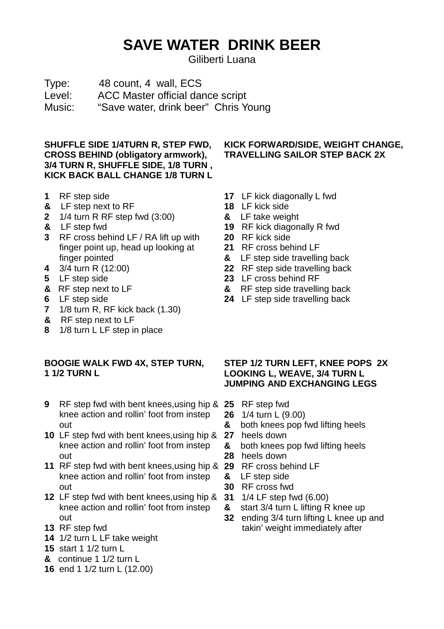## **SAVE WATER DRINK BEER**

Giliberti Luana

Type: 48 count, 4 wall, ECS Level: ACC Master official dance script Music: "Save water, drink beer" Chris Young

**SHUFFLE SIDE 1/4TURN R, STEP FWD, CROSS BEHIND (obligatory armwork), 3/4 TURN R, SHUFFLE SIDE, 1/8 TURN , KICK BACK BALL CHANGE 1/8 TURN L** 

- **1** RF step side
- **&** LF step next to RF
- **2** 1/4 turn R RF step fwd (3:00)
- **&** LF step fwd
- **3** RF cross behind LF / RA lift up with finger point up, head up looking at finger pointed
- **4** 3/4 turn R (12:00)
- **5** LF step side
- **&** RF step next to LF
- **6** LF step side
- **7** 1/8 turn R, RF kick back (1.30)
- **&** RF step next to LF
- **8** 1/8 turn L LF step in place

## **BOOGIE WALK FWD 4X, STEP TURN, 1 1/2 TURN L**

- **9** RF step fwd with bent knees,using hip & **25** RF step fwd knee action and rollin' foot from instep out
- **10** LF step fwd with bent knees,using hip & knee action and rollin' foot from instep out
- **11** RF step fwd with bent knees,using hip & **29** RF cross behind LF knee action and rollin' foot from instep out
- **12** LF step fwd with bent knees,using hip & knee action and rollin' foot from instep out
- **13** RF step fwd
- **14** 1/2 turn L LF take weight
- **15** start 1 1/2 turn L
- **&** continue 1 1/2 turn L
- **16** end 1 1/2 turn L (12.00)

## **KICK FORWARD/SIDE, WEIGHT CHANGE, TRAVELLING SAILOR STEP BACK 2X**

- **17** LF kick diagonally L fwd
- **18** LF kick side
- **&** LF take weight
- **19** RF kick diagonally R fwd
- **20** RF kick side
- **21** RF cross behind LF
- **&** LF step side travelling back
- **22** RF step side travelling back
- **23** LF cross behind RF
- **&** RF step side travelling back
- **24** LF step side travelling back

## **STEP 1/2 TURN LEFT, KNEE POPS 2X LOOKING L, WEAVE, 3/4 TURN L JUMPING AND EXCHANGING LEGS**

- 
- **26** 1/4 turn L (9.00)
- **&** both knees pop fwd lifting heels
- **27** heels down
- **&** both knees pop fwd lifting heels
- **28** heels down
- 
- **&** LF step side
- **30** RF cross fwd
- **31** 1/4 LF step fwd (6.00)
- **&** start 3/4 turn L lifting R knee up
- **32** ending 3/4 turn lifting L knee up and takin' weight immediately after